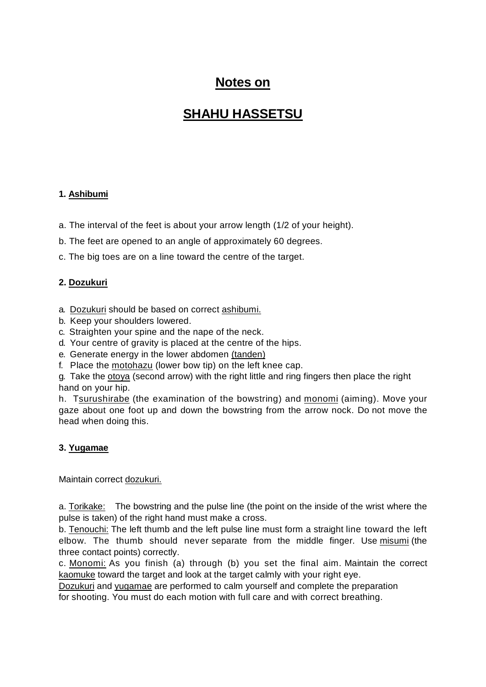# **Notes on**

# **SHAHU HASSETSU**

### **1. Ashibumi**

a. The interval of the feet is about your arrow length (1/2 of your height).

b. The feet are opened to an angle of approximately 60 degrees.

c. The big toes are on a line toward the centre of the target.

#### **2. Dozukuri**

- a. Dozukuri should be based on correct ashibumi.
- b. Keep your shoulders lowered.
- c. Straighten your spine and the nape of the neck.
- d. Your centre of gravity is placed at the centre of the hips.
- e. Generate energy in the lower abdomen (tanden)
- f. Place the motohazu (lower bow tip) on the left knee cap.

g. Take the otova (second arrow) with the right little and ring fingers then place the right hand on your hip.

h. Tsurushirabe (the examination of the bowstring) and monomi (aiming). Move your gaze about one foot up and down the bowstring from the arrow nock. Do not move the head when doing this.

#### **3. Yugamae**

Maintain correct dozukuri.

a. Torikake: The bowstring and the pulse line (the point on the inside of the wrist where the pulse is taken) of the right hand must make a cross.

b. Tenouchi: The left thumb and the left pulse line must form a straight line toward the left elbow. The thumb should never separate from the middle finger. Use misumi (the three contact points) correctly.

c. Monomi: As you finish (a) through (b) you set the final aim. Maintain the correct kaomuke toward the target and look at the target calmly with your right eye.

Dozukuri and yugamae are performed to calm yourself and complete the preparation for shooting. You must do each motion with full care and with correct breathing.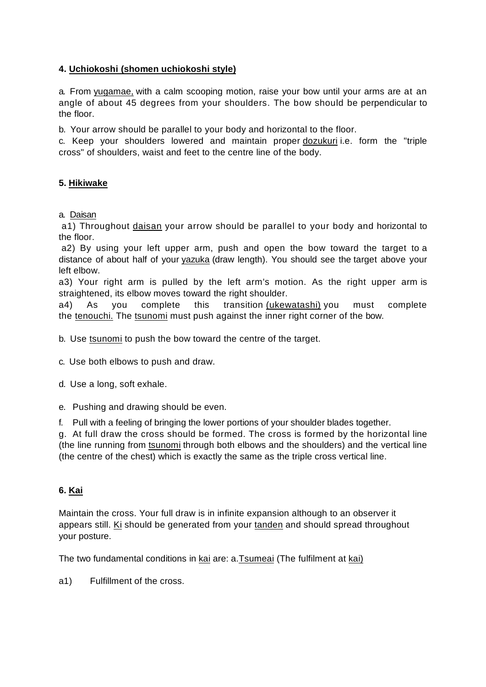### **4. Uchiokoshi (shomen uchiokoshi style)**

a. From yugamae, with a calm scooping motion, raise your bow until your arms are at an angle of about 45 degrees from your shoulders. The bow should be perpendicular to the floor.

b. Your arrow should be parallel to your body and horizontal to the floor.

c. Keep your shoulders lowered and maintain proper dozukuri i.e. form the "triple cross" of shoulders, waist and feet to the centre line of the body.

#### **5. Hikiwake**

a. Daisan

 a1) Throughout daisan your arrow should be parallel to your body and horizontal to the floor.

 a2) By using your left upper arm, push and open the bow toward the target to a distance of about half of your yazuka (draw length). You should see the target above your left elbow.

 a3) Your right arm is pulled by the left arm's motion. As the right upper arm is straightened, its elbow moves toward the right shoulder.

 a4) As you complete this transition (ukewatashi) you must complete the tenouchi. The tsunomi must push against the inner right corner of the bow.

b. Use tsunomi to push the bow toward the centre of the target.

c. Use both elbows to push and draw.

d. Use a long, soft exhale.

e. Pushing and drawing should be even.

f. Pull with a feeling of bringing the lower portions of your shoulder blades together.

g. At full draw the cross should be formed. The cross is formed by the horizontal line (the line running from tsunomi through both elbows and the shoulders) and the vertical line (the centre of the chest) which is exactly the same as the triple cross vertical line.

#### **6. Kai**

Maintain the cross. Your full draw is in infinite expansion although to an observer it appears still. Ki should be generated from your tanden and should spread throughout your posture.

The two fundamental conditions in kai are: a.Tsumeai (The fulfilment at kai)

a1) Fulfillment of the cross.